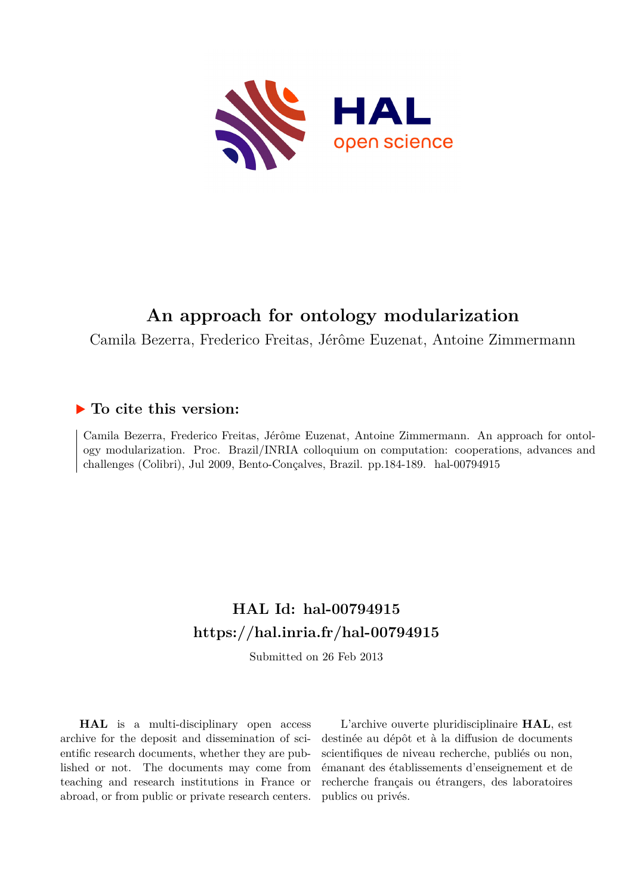

# **An approach for ontology modularization**

Camila Bezerra, Frederico Freitas, Jérôme Euzenat, Antoine Zimmermann

### **To cite this version:**

Camila Bezerra, Frederico Freitas, Jérôme Euzenat, Antoine Zimmermann. An approach for ontology modularization. Proc. Brazil/INRIA colloquium on computation: cooperations, advances and challenges (Colibri), Jul 2009, Bento-Conçalves, Brazil. pp.184-189. hal-00794915

## **HAL Id: hal-00794915 <https://hal.inria.fr/hal-00794915>**

Submitted on 26 Feb 2013

**HAL** is a multi-disciplinary open access archive for the deposit and dissemination of scientific research documents, whether they are published or not. The documents may come from teaching and research institutions in France or abroad, or from public or private research centers.

L'archive ouverte pluridisciplinaire **HAL**, est destinée au dépôt et à la diffusion de documents scientifiques de niveau recherche, publiés ou non, émanant des établissements d'enseignement et de recherche français ou étrangers, des laboratoires publics ou privés.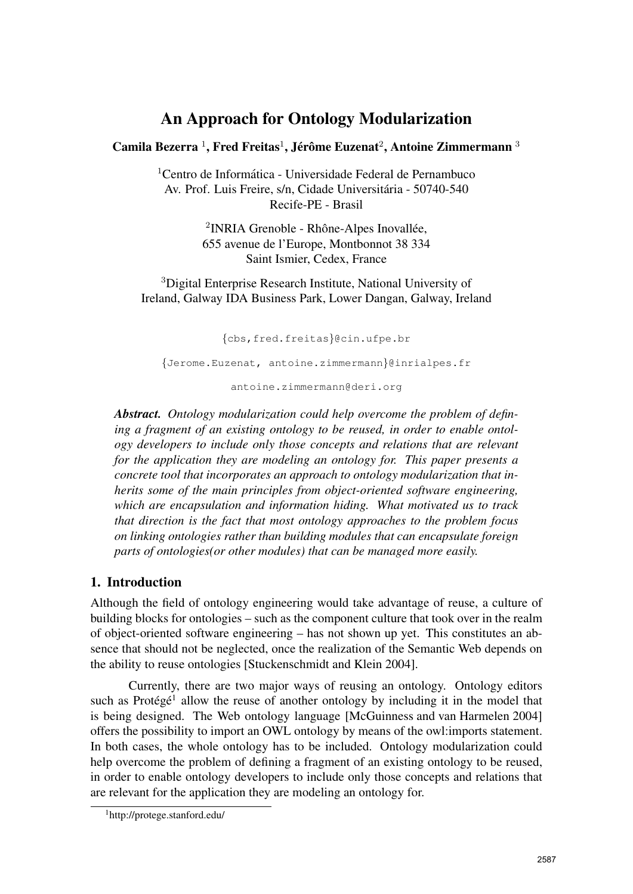## An Approach for Ontology Modularization

#### Camila Bezerra <sup>1</sup>, Fred Freitas<sup>1</sup>, Jérôme Euzenat<sup>2</sup>, Antoine Zimmermann <sup>3</sup>

<sup>1</sup>Centro de Informática - Universidade Federal de Pernambuco Av. Prof. Luis Freire, s/n, Cidade Universitária - 50740-540 Recife-PE - Brasil

> <sup>2</sup>INRIA Grenoble - Rhône-Alpes Inovallée, 655 avenue de l'Europe, Montbonnot 38 334 Saint Ismier, Cedex, France

<sup>3</sup>Digital Enterprise Research Institute, National University of Ireland, Galway IDA Business Park, Lower Dangan, Galway, Ireland

{cbs,fred.freitas}@cin.ufpe.br

{Jerome.Euzenat, antoine.zimmermann}@inrialpes.fr

antoine.zimmermann@deri.org

*Abstract. Ontology modularization could help overcome the problem of defining a fragment of an existing ontology to be reused, in order to enable ontology developers to include only those concepts and relations that are relevant for the application they are modeling an ontology for. This paper presents a concrete tool that incorporates an approach to ontology modularization that inherits some of the main principles from object-oriented software engineering, which are encapsulation and information hiding. What motivated us to track that direction is the fact that most ontology approaches to the problem focus on linking ontologies rather than building modules that can encapsulate foreign parts of ontologies(or other modules) that can be managed more easily.*

#### 1. Introduction

Although the field of ontology engineering would take advantage of reuse, a culture of building blocks for ontologies – such as the component culture that took over in the realm of object-oriented software engineering – has not shown up yet. This constitutes an absence that should not be neglected, once the realization of the Semantic Web depends on the ability to reuse ontologies [Stuckenschmidt and Klein 2004].

Currently, there are two major ways of reusing an ontology. Ontology editors such as Protégé<sup>1</sup> allow the reuse of another ontology by including it in the model that is being designed. The Web ontology language [McGuinness and van Harmelen 2004] offers the possibility to import an OWL ontology by means of the owl:imports statement. In both cases, the whole ontology has to be included. Ontology modularization could help overcome the problem of defining a fragment of an existing ontology to be reused, in order to enable ontology developers to include only those concepts and relations that are relevant for the application they are modeling an ontology for.

<sup>1</sup>http://protege.stanford.edu/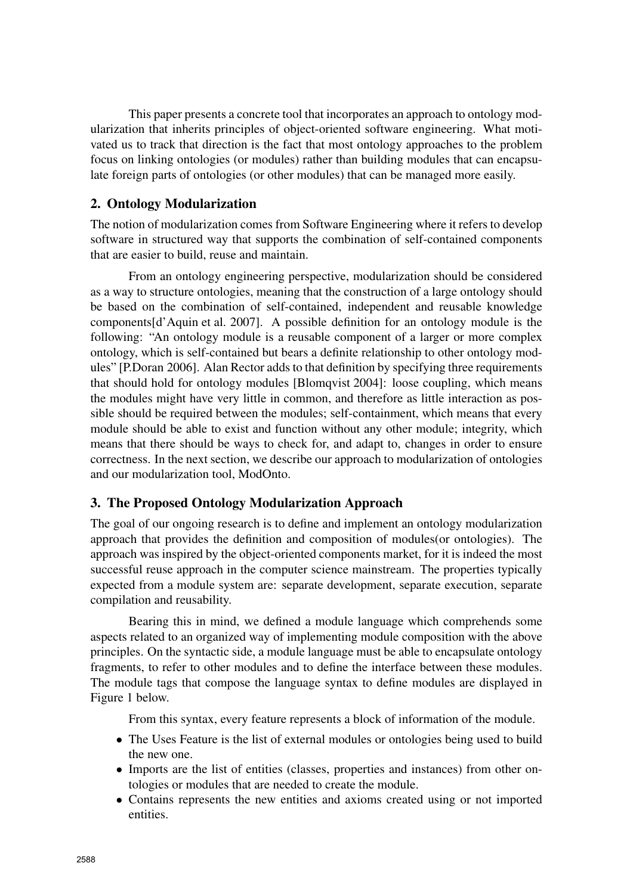This paper presents a concrete tool that incorporates an approach to ontology modularization that inherits principles of object-oriented software engineering. What motivated us to track that direction is the fact that most ontology approaches to the problem focus on linking ontologies (or modules) rather than building modules that can encapsulate foreign parts of ontologies (or other modules) that can be managed more easily.

#### 2. Ontology Modularization

The notion of modularization comes from Software Engineering where it refers to develop software in structured way that supports the combination of self-contained components that are easier to build, reuse and maintain.

From an ontology engineering perspective, modularization should be considered as a way to structure ontologies, meaning that the construction of a large ontology should be based on the combination of self-contained, independent and reusable knowledge components[d'Aquin et al. 2007]. A possible definition for an ontology module is the following: "An ontology module is a reusable component of a larger or more complex ontology, which is self-contained but bears a definite relationship to other ontology modules" [P.Doran 2006]. Alan Rector adds to that definition by specifying three requirements that should hold for ontology modules [Blomqvist 2004]: loose coupling, which means the modules might have very little in common, and therefore as little interaction as possible should be required between the modules; self-containment, which means that every module should be able to exist and function without any other module; integrity, which means that there should be ways to check for, and adapt to, changes in order to ensure correctness. In the next section, we describe our approach to modularization of ontologies and our modularization tool, ModOnto.

#### 3. The Proposed Ontology Modularization Approach

The goal of our ongoing research is to define and implement an ontology modularization approach that provides the definition and composition of modules(or ontologies). The approach was inspired by the object-oriented components market, for it is indeed the most successful reuse approach in the computer science mainstream. The properties typically expected from a module system are: separate development, separate execution, separate compilation and reusability.

Bearing this in mind, we defined a module language which comprehends some aspects related to an organized way of implementing module composition with the above principles. On the syntactic side, a module language must be able to encapsulate ontology fragments, to refer to other modules and to define the interface between these modules. The module tags that compose the language syntax to define modules are displayed in Figure 1 below.

From this syntax, every feature represents a block of information of the module.

- The Uses Feature is the list of external modules or ontologies being used to build the new one.
- Imports are the list of entities (classes, properties and instances) from other ontologies or modules that are needed to create the module.
- Contains represents the new entities and axioms created using or not imported entities.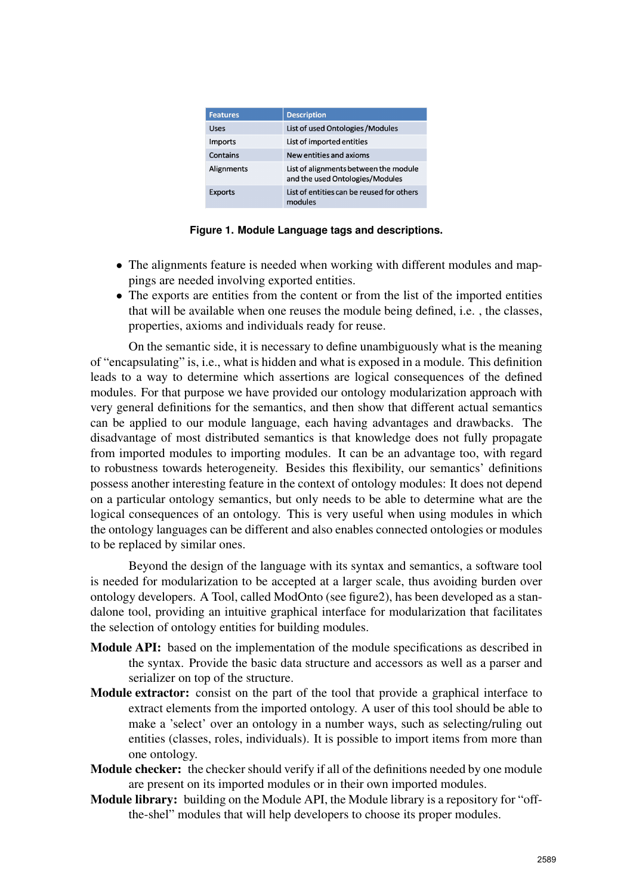| <b>Features</b> | <b>Description</b>                                                       |  |
|-----------------|--------------------------------------------------------------------------|--|
| Uses            | List of used Ontologies / Modules                                        |  |
| Imports         | List of imported entities                                                |  |
| Contains        | New entities and axioms                                                  |  |
| Alignments      | List of alignments between the module<br>and the used Ontologies/Modules |  |
| <b>Exports</b>  | List of entities can be reused for others<br>modules                     |  |

**Figure 1. Module Language tags and descriptions.**

- The alignments feature is needed when working with different modules and mappings are needed involving exported entities.
- The exports are entities from the content or from the list of the imported entities that will be available when one reuses the module being defined, i.e. , the classes, properties, axioms and individuals ready for reuse.

On the semantic side, it is necessary to define unambiguously what is the meaning of "encapsulating" is, i.e., what is hidden and what is exposed in a module. This definition leads to a way to determine which assertions are logical consequences of the defined modules. For that purpose we have provided our ontology modularization approach with very general definitions for the semantics, and then show that different actual semantics can be applied to our module language, each having advantages and drawbacks. The disadvantage of most distributed semantics is that knowledge does not fully propagate from imported modules to importing modules. It can be an advantage too, with regard to robustness towards heterogeneity. Besides this flexibility, our semantics' definitions possess another interesting feature in the context of ontology modules: It does not depend on a particular ontology semantics, but only needs to be able to determine what are the logical consequences of an ontology. This is very useful when using modules in which the ontology languages can be different and also enables connected ontologies or modules to be replaced by similar ones.

Beyond the design of the language with its syntax and semantics, a software tool is needed for modularization to be accepted at a larger scale, thus avoiding burden over ontology developers. A Tool, called ModOnto (see figure2), has been developed as a standalone tool, providing an intuitive graphical interface for modularization that facilitates the selection of ontology entities for building modules.

- Module API: based on the implementation of the module specifications as described in the syntax. Provide the basic data structure and accessors as well as a parser and serializer on top of the structure.
- Module extractor: consist on the part of the tool that provide a graphical interface to extract elements from the imported ontology. A user of this tool should be able to make a 'select' over an ontology in a number ways, such as selecting/ruling out entities (classes, roles, individuals). It is possible to import items from more than one ontology.
- Module checker: the checker should verify if all of the definitions needed by one module are present on its imported modules or in their own imported modules.
- Module library: building on the Module API, the Module library is a repository for "offthe-shel" modules that will help developers to choose its proper modules.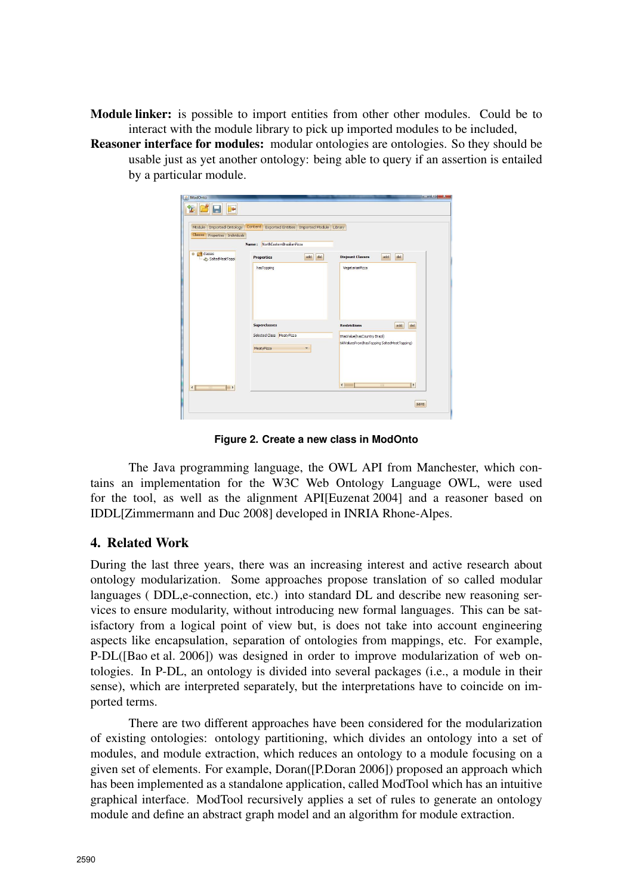Module linker: is possible to import entities from other other modules. Could be to interact with the module library to pick up imported modules to be included,

Reasoner interface for modules: modular ontologies are ontologies. So they should be usable just as yet another ontology: being able to query if an assertion is entailed by a particular module.

| ModOnto                                                                              |                                               | <b>RECORD OF REAL PROPERTY</b>                                               |  |
|--------------------------------------------------------------------------------------|-----------------------------------------------|------------------------------------------------------------------------------|--|
| <b>De</b><br>鬙<br>声                                                                  |                                               |                                                                              |  |
| Module   Imported Ontology   Content   Exported Entities   Imported Module   Library |                                               |                                                                              |  |
| <b>Classes</b><br>Properties   Individuals<br>Name: NorthEasternBrazilianPizza       |                                               |                                                                              |  |
| O <b>C</b> classes<br>SaltedMeatToppi                                                | del<br>add<br><b>Properties</b><br>hasTopping | del<br><b>Disjount Classes</b><br>add<br>VegetarianPizza                     |  |
|                                                                                      |                                               |                                                                              |  |
|                                                                                      |                                               |                                                                              |  |
|                                                                                      | <b>Superclasses</b>                           | del<br><b>Restrictions</b><br>add                                            |  |
|                                                                                      | Selected Class MeatyPizza<br>MeatyPizza       | tHasValue(hasCountry Brazil)<br>tAllValuesFrom(hasTopping SaltedMeatTopping) |  |
|                                                                                      |                                               |                                                                              |  |
| 1 F<br>$\triangleleft$<br>38                                                         |                                               | $\left  \cdot \right $<br>$-111$<br>l۴                                       |  |
|                                                                                      |                                               | save                                                                         |  |
|                                                                                      |                                               |                                                                              |  |

**Figure 2. Create a new class in ModOnto**

The Java programming language, the OWL API from Manchester, which contains an implementation for the W3C Web Ontology Language OWL, were used for the tool, as well as the alignment API[Euzenat 2004] and a reasoner based on IDDL[Zimmermann and Duc 2008] developed in INRIA Rhone-Alpes.

#### 4. Related Work

During the last three years, there was an increasing interest and active research about ontology modularization. Some approaches propose translation of so called modular languages ( DDL, e-connection, etc.) into standard DL and describe new reasoning services to ensure modularity, without introducing new formal languages. This can be satisfactory from a logical point of view but, is does not take into account engineering aspects like encapsulation, separation of ontologies from mappings, etc. For example, P-DL([Bao et al. 2006]) was designed in order to improve modularization of web ontologies. In P-DL, an ontology is divided into several packages (i.e., a module in their sense), which are interpreted separately, but the interpretations have to coincide on imported terms.

There are two different approaches have been considered for the modularization of existing ontologies: ontology partitioning, which divides an ontology into a set of modules, and module extraction, which reduces an ontology to a module focusing on a given set of elements. For example, Doran([P.Doran 2006]) proposed an approach which has been implemented as a standalone application, called ModTool which has an intuitive graphical interface. ModTool recursively applies a set of rules to generate an ontology module and define an abstract graph model and an algorithm for module extraction.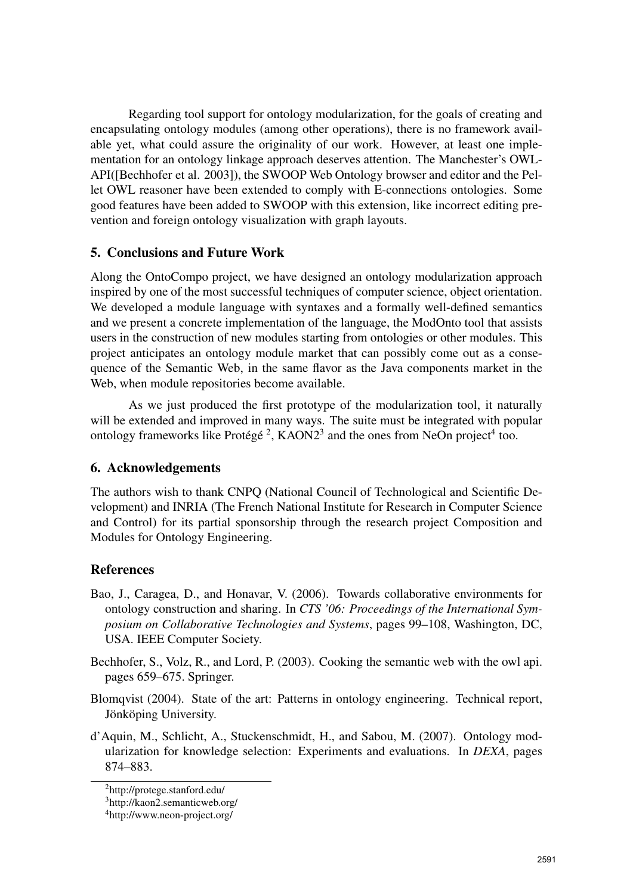Regarding tool support for ontology modularization, for the goals of creating and encapsulating ontology modules (among other operations), there is no framework available yet, what could assure the originality of our work. However, at least one implementation for an ontology linkage approach deserves attention. The Manchester's OWL-API([Bechhofer et al. 2003]), the SWOOP Web Ontology browser and editor and the Pellet OWL reasoner have been extended to comply with E-connections ontologies. Some good features have been added to SWOOP with this extension, like incorrect editing prevention and foreign ontology visualization with graph layouts.

#### 5. Conclusions and Future Work

Along the OntoCompo project, we have designed an ontology modularization approach inspired by one of the most successful techniques of computer science, object orientation. We developed a module language with syntaxes and a formally well-defined semantics and we present a concrete implementation of the language, the ModOnto tool that assists users in the construction of new modules starting from ontologies or other modules. This project anticipates an ontology module market that can possibly come out as a consequence of the Semantic Web, in the same flavor as the Java components market in the Web, when module repositories become available.

As we just produced the first prototype of the modularization tool, it naturally will be extended and improved in many ways. The suite must be integrated with popular ontology frameworks like Protégé<sup>2</sup>, KAON2<sup>3</sup> and the ones from NeOn project<sup>4</sup> too.

#### 6. Acknowledgements

The authors wish to thank CNPQ (National Council of Technological and Scientific Development) and INRIA (The French National Institute for Research in Computer Science and Control) for its partial sponsorship through the research project Composition and Modules for Ontology Engineering.

#### **References**

Bao, J., Caragea, D., and Honavar, V. (2006). Towards collaborative environments for ontology construction and sharing. In *CTS '06: Proceedings of the International Symposium on Collaborative Technologies and Systems*, pages 99–108, Washington, DC, USA. IEEE Computer Society.

Bechhofer, S., Volz, R., and Lord, P. (2003). Cooking the semantic web with the owl api. pages 659–675. Springer.

- Blomqvist (2004). State of the art: Patterns in ontology engineering. Technical report, Jönköping University.
- d'Aquin, M., Schlicht, A., Stuckenschmidt, H., and Sabou, M. (2007). Ontology modularization for knowledge selection: Experiments and evaluations. In *DEXA*, pages 874–883.

<sup>2</sup>http://protege.stanford.edu/

<sup>3</sup>http://kaon2.semanticweb.org/

<sup>4</sup>http://www.neon-project.org/